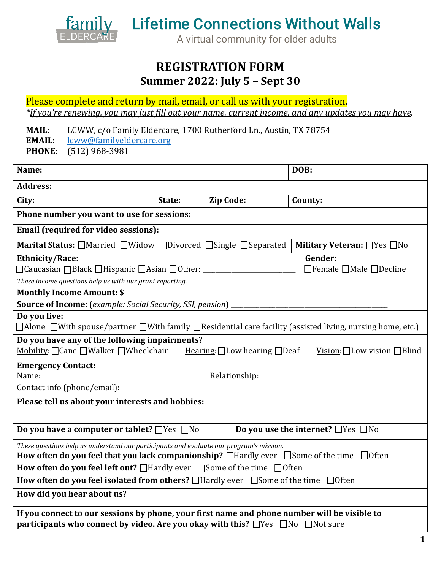

## **REGISTRATION FORM Summer 2022: July 5 – Sept 30**

Please complete and return by mail, email, or call us with your registration. *\*If you're renewing, you may just �ill out your name, current income, and any updates you may have.*

**MAIL:** LCWW, c/o Family Eldercare, 1700 Rutherford Ln., Austin, TX 78754<br>**EMAIL:** lcww@familyeldercare.org

**EMAIL**: [lcww@familyeldercare.org](mailto:lcww@familyeldercare.org)

**PHONE**: (512) 968-3981

| Name:                                                                                                                                                                                           |                  | DOB:                                     |
|-------------------------------------------------------------------------------------------------------------------------------------------------------------------------------------------------|------------------|------------------------------------------|
| <b>Address:</b>                                                                                                                                                                                 |                  |                                          |
| City:<br>State:                                                                                                                                                                                 | <b>Zip Code:</b> | County:                                  |
| Phone number you want to use for sessions:                                                                                                                                                      |                  |                                          |
| <b>Email (required for video sessions):</b>                                                                                                                                                     |                  |                                          |
| Marital Status: □Married □Widow □Divorced □Single □Separated                                                                                                                                    |                  | Military Veteran: □ Yes □ No             |
| <b>Ethnicity/Race:</b>                                                                                                                                                                          |                  | Gender:                                  |
| □ Caucasian □ Black □ Hispanic □ Asian □ Other: _                                                                                                                                               |                  | $\Box$ Female $\Box$ Male $\Box$ Decline |
| These income questions help us with our grant reporting.                                                                                                                                        |                  |                                          |
| <b>Monthly Income Amount: \$_</b>                                                                                                                                                               |                  |                                          |
| <b>Source of Income:</b> (example: Social Security, SSI, pension)                                                                                                                               |                  |                                          |
| Do you live:                                                                                                                                                                                    |                  |                                          |
| $\Box$ Alone $\Box$ With spouse/partner $\Box$ With family $\Box$ Residential care facility (assisted living, nursing home, etc.)                                                               |                  |                                          |
| Do you have any of the following impairments?                                                                                                                                                   |                  |                                          |
| Mobility: □ Cane □ Walker □ Wheelchair<br>Vision: $\Box$ Low vision $\Box$ Blind<br>Hearing: $\Box$ Low hearing $\Box$ Deaf                                                                     |                  |                                          |
| <b>Emergency Contact:</b>                                                                                                                                                                       |                  |                                          |
| Relationship:<br>Name:                                                                                                                                                                          |                  |                                          |
| Contact info (phone/email):                                                                                                                                                                     |                  |                                          |
| Please tell us about your interests and hobbies:                                                                                                                                                |                  |                                          |
|                                                                                                                                                                                                 |                  |                                          |
| Do you have a computer or tablet? $\Box$ Yes $\Box$ No<br>Do you use the internet? $\Box$ Yes $\Box$ No                                                                                         |                  |                                          |
| These questions help us understand our participants and evaluate our program's mission.                                                                                                         |                  |                                          |
| How often do you feel that you lack companionship? $\Box$ Hardly ever $\Box$ Some of the time $\Box$ Often                                                                                      |                  |                                          |
| How often do you feel left out? □ Hardly ever □ Some of the time □ Often                                                                                                                        |                  |                                          |
| How often do you feel isolated from others? □Hardly ever □Some of the time □Often                                                                                                               |                  |                                          |
| How did you hear about us?                                                                                                                                                                      |                  |                                          |
| If you connect to our sessions by phone, your first name and phone number will be visible to<br>participants who connect by video. Are you okay with this? $\Box$ Yes $\Box$ No $\Box$ Not sure |                  |                                          |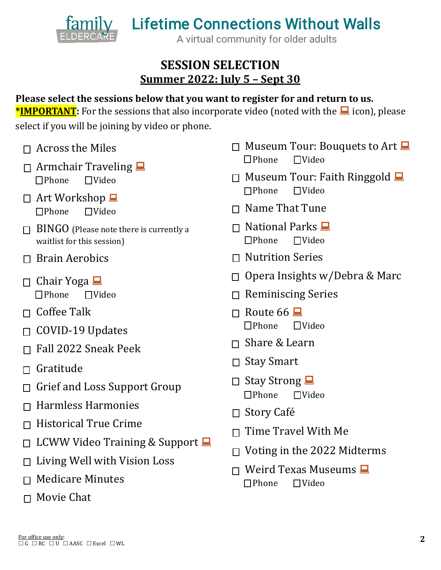

## **SESSION SELECTION Summer 2022: July 5 – Sept 30**

## **Please select the sessions below that you want to register for and return to us.**

**\*IMPORTANT:** For the sessions that also incorporate video (noted with the **a** icon), please select if you will be joining by video or phone.

- $\Box$  Across the Miles
- $\Box$  Armchair Traveling  $\Box$  $\Box$ Phone
- $\Box$  Art Workshop  $\Box$  $\n *DPhone*\n *TVideo*\n$
- $\Box$  BINGO (Please note there is currently a waitlist for this session)
- $\Box$  Brain Aerobics
- $\Box$  Chair Yoga  $\Box$  $\n **DPhone**\n **TVideo**\n$
- $\Box$  Coffee Talk
- $\Box$  COVID-19 Updates
- $\Box$  Fall 2022 Sneak Peek
- $\Box$  Gratitude
- $\Box$  Grief and Loss Support Group
- $\Box$  Harmless Harmonies
- $\Box$  Historical True Crime
- $\Box$  LCWW Video Training & Support  $\Box$
- $\Box$  Living Well with Vision Loss
- $\Box$  Medicare Minutes
- $\Box$  Movie Chat
- $\Box$  Museum Tour: Bouquets to Art  $\Box$  $\Box$ Phone
- $\Box$  Museum Tour: Faith Ringgold  $\Box$ <br>  $\Box$  Theone  $\Box$  Video  $\n *Thene*\n$
- $\Box$  Name That Tune
- $\Box$  National Parks  $\Box$  $\n *TV*ideo$
- $\Box$  Nutrition Series
- $\Box$  Opera Insights w/Debra & Marc
- $\Box$  Reminiscing Series
- $\Box$  Route 66  $\Box$  $\n *Thene*\n$
- $\Box$  Share & Learn
- $\Box$  Stay Smart
- $\Box$  Stay Strong  $\n **Phone**\n **TVideo**\n$
- $\Box$  Story Café
- $\Box$  Time Travel With Me
- $\Box$  Voting in the 2022 Midterms
- $\Box$  Weird Texas Museums  $\Box$ <br>  $\Box$  Phone  $\Box$  Video  $\Box$ Phone